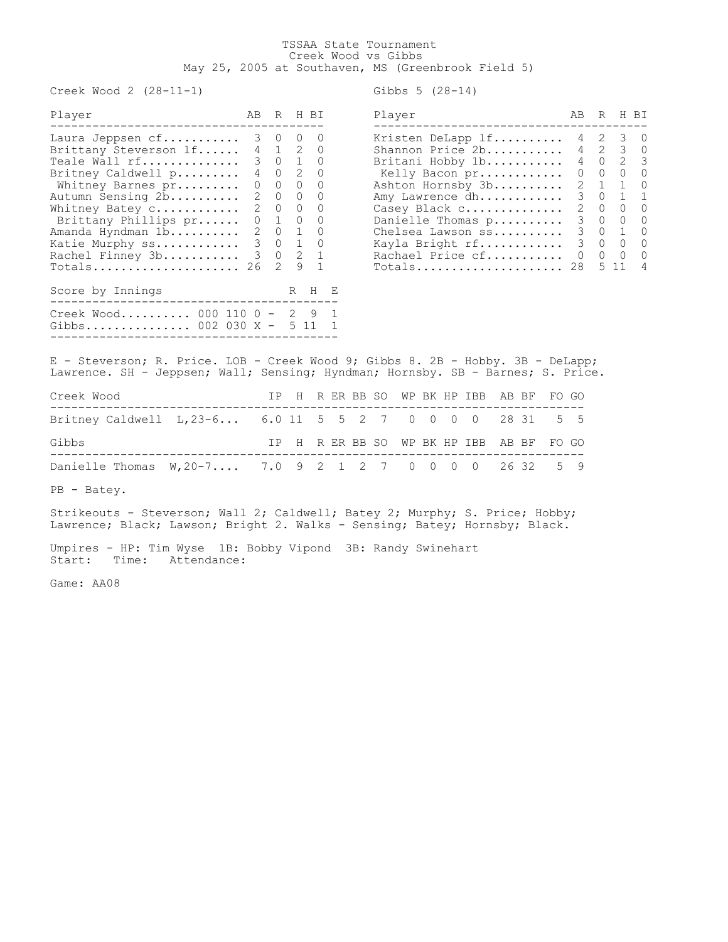## TSSAA State Tournament Creek Wood vs Gibbs May 25, 2005 at Southaven, MS (Greenbrook Field 5)

Creek Wood 2 (28-11-1) Gibbs 5 (28-14)

| Player                                                                                                                                                                                                                                                                                             | AB      |                                             |              | R H BI                               | Player                                                                                                                                                                                                                                                 | AB | R                                        | H BI                                                                                                            |                                                              |
|----------------------------------------------------------------------------------------------------------------------------------------------------------------------------------------------------------------------------------------------------------------------------------------------------|---------|---------------------------------------------|--------------|--------------------------------------|--------------------------------------------------------------------------------------------------------------------------------------------------------------------------------------------------------------------------------------------------------|----|------------------------------------------|-----------------------------------------------------------------------------------------------------------------|--------------------------------------------------------------|
| Laura Jeppsen cf<br>Brittany Steverson 1f 4 1 2 0<br>Teale Wall $rf$ 3 0 1 0<br>Britney Caldwell p<br>Whitney Barnes pr<br>Autumn Sensing 2b<br>Whitney Batey c<br>Brittany Phillips pr 0 1 0 0<br>Amanda Hyndman 1b 2 0 1 0<br>Katie Murphy ss 3 0 1 0<br>Rachel Finney 3b 3 0 2 1<br>$Totals$ 26 | $\circ$ | 3 0 0 0<br>4 0 2 0<br>2 0 0 0<br>2 0 0<br>2 | $\mathsf{Q}$ | $0\quad 0\quad 0$<br>0<br>$\sqrt{1}$ | Kristen DeLapp 1f 4 2 3 0<br>Shannon Price 2b 4 2 3 0<br>Britani Hobby 1b<br>Kelly Bacon pr<br>Ashton Hornsby 3b<br>Amy Lawrence dh<br>Casey Black c<br>Danielle Thomas p<br>Chelsea Lawson ss<br>Kayla Bright rf<br>Rachael Price cf 0<br>$Totals$ 28 |    | 3 0 0<br>$\begin{matrix}0&0\end{matrix}$ | 4 0 2 3<br>$0\qquad 0\qquad 0\qquad 0$<br>$2 \t1 \t1 \t0$<br>3 0 1 1<br>2 0 0 0<br>3 0 0<br>3 0 1 0<br>$5 \t11$ | $\bigcirc$<br>$\bigcirc$<br>$\overline{0}$<br>$\overline{4}$ |
| Score by Innings                                                                                                                                                                                                                                                                                   |         |                                             |              | R H E                                |                                                                                                                                                                                                                                                        |    |                                          |                                                                                                                 |                                                              |
| Creek Wood 000 110 0 -<br>Gibbs 002 030 X -                                                                                                                                                                                                                                                        |         |                                             |              | 2 9 1<br>5 11 1                      |                                                                                                                                                                                                                                                        |    |                                          |                                                                                                                 |                                                              |

| Player            | AB. | R            |                | H RT             |
|-------------------|-----|--------------|----------------|------------------|
| Kristen DeLapp lf | 4   | 2            | 3              | $\left( \right)$ |
| Shannon Price 2b  | 4   | $\mathbf{2}$ | 3              | 0                |
| Britani Hobby 1b  | 4   | 0            | $\overline{2}$ | 3                |
| Kelly Bacon pr    | 0   | 0            | $\Omega$       | 0                |
| Ashton Hornsby 3b | 2   | 1            | 1              | 0                |
| Amy Lawrence dh   | 3   | $\Omega$     | $\mathbf{1}$   | 1                |
| Casey Black c     | 2.  | 0            | 0              | 0                |
| Danielle Thomas p | 3   | 0            | 0              | 0                |
| Chelsea Lawson ss | 3   | $\Omega$     | $\mathbf{1}$   | 0                |
| Kayla Bright rf   | 3   | 0            | 0              | ∩                |
| Rachael Price cf  | 0   | 0            | 0              | O                |
| Totals            | 28  |              | 5 11           | 4                |

E - Steverson; R. Price. LOB - Creek Wood 9; Gibbs 8. 2B - Hobby. 3B - DeLapp; Lawrence. SH - Jeppsen; Wall; Sensing; Hyndman; Hornsby. SB - Barnes; S. Price.

| Creek Wood                                                |  |  |  |  |  | IP H R ER BB SO WP BK HP IBB AB BF FO GO |  |  |
|-----------------------------------------------------------|--|--|--|--|--|------------------------------------------|--|--|
| Britney Caldwell L, 23-6 6.0 11 5 5 2 7 0 0 0 0 28 31 5 5 |  |  |  |  |  |                                          |  |  |
| Gibbs                                                     |  |  |  |  |  | IP H R ER BB SO WP BK HP IBB AB BF FO GO |  |  |
| Danielle Thomas W, 20-7 7.0 9 2 1 2 7 0 0 0 0 26 32 5 9   |  |  |  |  |  |                                          |  |  |

PB - Batey.

Strikeouts - Steverson; Wall 2; Caldwell; Batey 2; Murphy; S. Price; Hobby; Lawrence; Black; Lawson; Bright 2. Walks - Sensing; Batey; Hornsby; Black.

Umpires - HP: Tim Wyse 1B: Bobby Vipond 3B: Randy Swinehart Start: Time: Attendance:

Game: AA08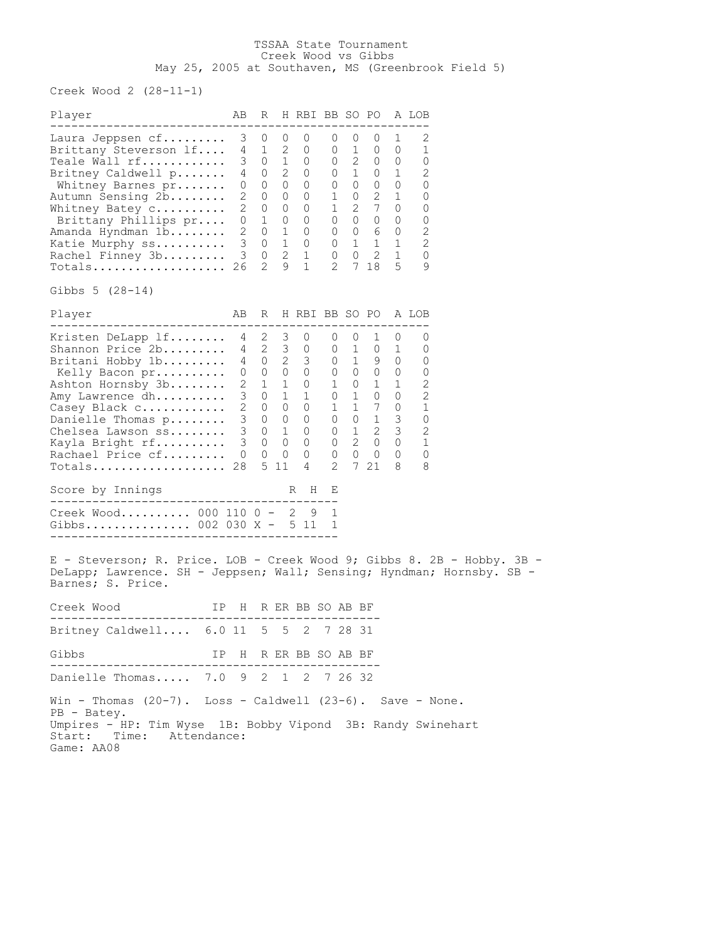## TSSAA State Tournament Creek Wood vs Gibbs May 25, 2005 at Southaven, MS (Greenbrook Field 5)

Creek Wood 2 (28-11-1)

| Player                                                                                                                                                                                                                                                                                                            | AB                                                                     | R                                                                                                               |                                                                                  | H RBI BB SO PO A LOB                                                                                 |                                                                          |                                                                                             |                                                                                                     |                                                                                                 |                                                                                             |  |  |
|-------------------------------------------------------------------------------------------------------------------------------------------------------------------------------------------------------------------------------------------------------------------------------------------------------------------|------------------------------------------------------------------------|-----------------------------------------------------------------------------------------------------------------|----------------------------------------------------------------------------------|------------------------------------------------------------------------------------------------------|--------------------------------------------------------------------------|---------------------------------------------------------------------------------------------|-----------------------------------------------------------------------------------------------------|-------------------------------------------------------------------------------------------------|---------------------------------------------------------------------------------------------|--|--|
| Laura Jeppsen cf<br>Brittany Steverson If<br>Teale Wall rf<br>Britney Caldwell p<br>Whitney Barnes pr<br>Autumn Sensing 2b<br>Whitney Batey c<br>Brittany Phillips pr<br>Amanda Hyndman 1b<br>Katie Murphy ss<br>Rachel Finney 3b<br>$\texttt{Totals} \dots \dots \dots \dots \dots \dots$<br>Gibbs $5$ $(28-14)$ | 3<br>4<br>3<br>4<br>0<br>2<br>2<br>0<br>2<br>3<br>3<br>26              | 0<br>1<br>0<br>$\circ$<br>0<br>0<br>0<br>1<br>0<br>$\overline{0}$<br>$\overline{0}$<br>2                        | 0<br>$\mathbf{2}$<br>1<br>2<br>0<br>0<br>$\overline{0}$<br>0<br>1<br>1<br>2<br>9 | 0<br>0<br>0<br>0<br>0<br>0<br>0<br>0<br>0<br>0<br>1<br>$\mathbf 1$                                   | O<br>O<br>0<br>U<br>0<br>1<br>1<br>0<br>0<br>0<br>0<br>2                 | 0<br>1<br>$\mathbf{2}$<br>1<br>0<br>$\circ$<br>2<br>$\overline{0}$<br>1 1<br>$\overline{0}$ | 0<br>0<br>0<br>$\overline{0}$<br>$\mathbf 0$<br>2<br>$\overline{7}$<br>0<br>$0\quad 6$<br>2<br>7 18 | 1<br>0<br>0<br>1<br>0<br>1<br>0<br>0<br>$\overline{0}$<br>1<br>$\mathbf{1}$<br>5                | $\mathbf{2}$<br>1<br>0<br>2<br>0<br>0<br>0<br>0<br>$\mathbf{2}$<br>$\overline{2}$<br>0<br>9 |  |  |
| Player                                                                                                                                                                                                                                                                                                            | AB                                                                     | R                                                                                                               |                                                                                  | H RBI BB SO PO                                                                                       |                                                                          |                                                                                             |                                                                                                     |                                                                                                 | A LOB                                                                                       |  |  |
| Kristen DeLapp lf<br>Shannon Price 2b<br>Britani Hobby 1b<br>Kelly Bacon pr<br>Ashton Hornsby 3b<br>Amy Lawrence dh<br>Casey Black c<br>Danielle Thomas $p$<br>Chelsea Lawson ss<br>Kayla Bright rf<br>Rachael Price cf<br>Totals<br>Score by Innings                                                             | 4<br>4<br>4<br>0<br>$\overline{c}$<br>3<br>2<br>3<br>3<br>3<br>0<br>28 | 2<br>2<br>$\overline{0}$<br>$\overline{0}$<br>$\overline{1}$<br>0<br>$\overline{0}$<br>$\overline{0}$<br>0<br>0 | 3<br>3<br>2<br>0<br>1<br>1<br>$\circ$<br>0<br>$0\quad 1$<br>0<br>0<br>511        | 0<br>$\circ$<br>$\overline{\mathbf{3}}$<br>$\circ$<br>0<br>1<br>0<br>0<br>0<br>0<br>0<br>4<br>H<br>R | O<br>0<br>U<br>0<br>$\mathbf{1}$<br>0<br>1<br>0<br>0<br>0<br>0<br>2<br>Е | 0<br>1<br>1<br>$0\quad 0$<br>$\overline{0}$<br>$\mathbf{1}$<br>$\mathbf{1}$<br>$\mathbf{2}$ | 1<br>0<br>9<br>$\mathbf 1$<br>0<br>1 7<br>$0\quad 1$<br>2<br>$\circ$<br>$0\qquad 0$<br>7 21         | 0<br>$\mathbf{1}$<br>0<br>0<br>1<br>0<br>0<br>3<br>$\overline{\mathbf{3}}$<br>$\circ$<br>0<br>8 | 0<br>0<br>0<br>0<br>$\mathbf{2}$<br>2<br>1<br>0<br>$\mathbf{2}$<br>1<br>0<br>8              |  |  |
| Creek Wood 000 110 0 -                                                                                                                                                                                                                                                                                            |                                                                        |                                                                                                                 | 2                                                                                | 9<br>5 11                                                                                            | 1<br>1                                                                   |                                                                                             |                                                                                                     |                                                                                                 |                                                                                             |  |  |
| E - Steverson; R. Price. LOB - Creek Wood 9; Gibbs 8. 2B - Hobby. 3B -<br>DeLapp; Lawrence. SH - Jeppsen; Wall; Sensing; Hyndman; Hornsby. SB -<br>Barnes; S. Price.<br>Creek Wood<br>IP<br>Britney Caldwell 6.0 11                                                                                               |                                                                        | 5                                                                                                               | 5                                                                                | H R ER BB SO AB BF<br>$\sqrt{2}$                                                                     |                                                                          | 7 28 31                                                                                     |                                                                                                     |                                                                                                 |                                                                                             |  |  |
| Gibbs                                                                                                                                                                                                                                                                                                             |                                                                        |                                                                                                                 |                                                                                  | IP H R ER BB SO AB BF                                                                                |                                                                          |                                                                                             |                                                                                                     |                                                                                                 |                                                                                             |  |  |
| Danielle Thomas 7.0 9 2 1 2 7 26 32                                                                                                                                                                                                                                                                               |                                                                        |                                                                                                                 |                                                                                  |                                                                                                      |                                                                          |                                                                                             |                                                                                                     |                                                                                                 |                                                                                             |  |  |
| Win - Thomas $(20-7)$ . Loss - Caldwell $(23-6)$ . Save - None.<br>PB - Batey.<br>Umpires - HP: Tim Wyse 1B: Bobby Vipond 3B: Randy Swinehart<br>Start: Time: Attendance:                                                                                                                                         |                                                                        |                                                                                                                 |                                                                                  |                                                                                                      |                                                                          |                                                                                             |                                                                                                     |                                                                                                 |                                                                                             |  |  |

Game: AA08